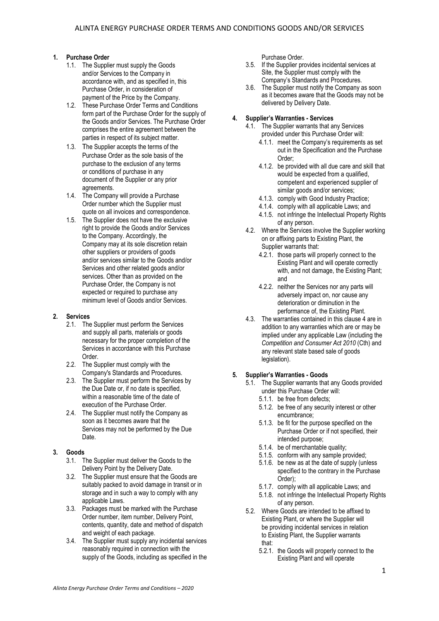# **1. Purchase Order**

- 1.1. The Supplier must supply the Goods and/or Services to the Company in accordance with, and as specified in, this Purchase Order, in consideration of payment of the Price by the Company.
- 1.2. These Purchase Order Terms and Conditions form part of the Purchase Order for the supply of the Goods and/or Services. The Purchase Order comprises the entire agreement between the parties in respect of its subject matter.
- 1.3. The Supplier accepts the terms of the Purchase Order as the sole basis of the purchase to the exclusion of any terms or conditions of purchase in any document of the Supplier or any prior agreements.
- 1.4. The Company will provide a Purchase Order number which the Supplier must quote on all invoices and correspondence.
- 1.5. The Supplier does not have the exclusive right to provide the Goods and/or Services to the Company. Accordingly, the Company may at its sole discretion retain other suppliers or providers of goods and/or services similar to the Goods and/or Services and other related goods and/or services. Other than as provided on the Purchase Order, the Company is not expected or required to purchase any minimum level of Goods and/or Services.

### **2. Services**

- 2.1. The Supplier must perform the Services and supply all parts, materials or goods necessary for the proper completion of the Services in accordance with this Purchase Order.
- 2.2. The Supplier must comply with the Company's Standards and Procedures.
- 2.3. The Supplier must perform the Services by the Due Date or, if no date is specified, within a reasonable time of the date of execution of the Purchase Order.
- 2.4. The Supplier must notify the Company as soon as it becomes aware that the Services may not be performed by the Due Date.

# **3. Goods**

- 3.1. The Supplier must deliver the Goods to the Delivery Point by the Delivery Date.
- 3.2. The Supplier must ensure that the Goods are suitably packed to avoid damage in transit or in storage and in such a way to comply with any applicable Laws.
- 3.3. Packages must be marked with the Purchase Order number, item number, Delivery Point, contents, quantity, date and method of dispatch and weight of each package.
- 3.4. The Supplier must supply any incidental services reasonably required in connection with the supply of the Goods, including as specified in the

Purchase Order.

- 3.5. If the Supplier provides incidental services at Site, the Supplier must comply with the Company's Standards and Procedures.
- 3.6. The Supplier must notify the Company as soon as it becomes aware that the Goods may not be delivered by Delivery Date.

## **4. Supplier's Warranties - Services**

- 4.1. The Supplier warrants that any Services provided under this Purchase Order will:
	- 4.1.1. meet the Company's requirements as set out in the Specification and the Purchase Order;
	- 4.1.2. be provided with all due care and skill that would be expected from a qualified. competent and experienced supplier of similar goods and/or services;
	- 4.1.3. comply with Good Industry Practice;
	- 4.1.4. comply with all applicable Laws; and
	- 4.1.5. not infringe the Intellectual Property Rights of any person.
- 4.2. Where the Services involve the Supplier working on or affixing parts to Existing Plant, the Supplier warrants that:
	- 4.2.1. those parts will properly connect to the Existing Plant and will operate correctly with, and not damage, the Existing Plant; and
	- 4.2.2. neither the Services nor any parts will adversely impact on, nor cause any deterioration or diminution in the performance of, the Existing Plant.
- 4.3. The warranties contained in this clause 4 are in addition to any warranties which are or may be implied under any applicable Law (including the *Competition and Consumer Act 2010* (Cth) and any relevant state based sale of goods legislation).

# **5. Supplier's Warranties - Goods**

- 5.1. The Supplier warrants that any Goods provided under this Purchase Order will:
	- 5.1.1. be free from defects;
	- 5.1.2. be free of any security interest or other encumbrance;
	- 5.1.3. be fit for the purpose specified on the Purchase Order or if not specified, their intended purpose;
	- 5.1.4. be of merchantable quality;
	- 5.1.5. conform with any sample provided;
	- 5.1.6. be new as at the date of supply (unless specified to the contrary in the Purchase Order);
	- 5.1.7. comply with all applicable Laws; and
	- 5.1.8. not infringe the Intellectual Property Rights of any person.
- 5.2. Where Goods are intended to be affixed to Existing Plant, or where the Supplier will be providing incidental services in relation to Existing Plant, the Supplier warrants that:
	- 5.2.1. the Goods will properly connect to the Existing Plant and will operate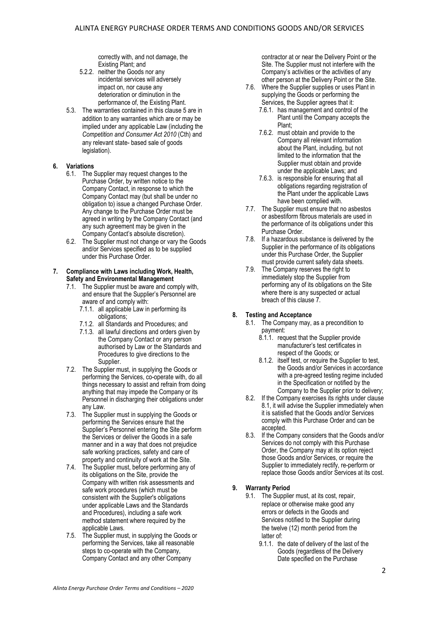correctly with, and not damage, the Existing Plant; and

- 5.2.2. neither the Goods nor any incidental services will adversely impact on, nor cause any deterioration or diminution in the performance of, the Existing Plant.
- 5.3. The warranties contained in this clause 5 are in addition to any warranties which are or may be implied under any applicable Law (including the *Competition and Consumer Act 2010* (Cth) and any relevant state- based sale of goods legislation).

### **6. Variations**

- 6.1. The Supplier may request changes to the Purchase Order, by written notice to the Company Contact, in response to which the Company Contact may (but shall be under no obligation to) issue a changed Purchase Order. Any change to the Purchase Order must be agreed in writing by the Company Contact (and any such agreement may be given in the Company Contact's absolute discretion).
- 6.2. The Supplier must not change or vary the Goods and/or Services specified as to be supplied under this Purchase Order.

#### **7. Compliance with Laws including Work, Health, Safety and Environmental Management**

- 7.1. The Supplier must be aware and comply with, and ensure that the Supplier's Personnel are aware of and comply with:
	- 7.1.1. all applicable Law in performing its obligations;
	- 7.1.2. all Standards and Procedures; and
	- 7.1.3. all lawful directions and orders given by the Company Contact or any person authorised by Law or the Standards and Procedures to give directions to the Supplier.
- 7.2. The Supplier must, in supplying the Goods or performing the Services, co-operate with, do all things necessary to assist and refrain from doing anything that may impede the Company or its Personnel in discharging their obligations under any Law.
- 7.3. The Supplier must in supplying the Goods or performing the Services ensure that the Supplier's Personnel entering the Site perform the Services or deliver the Goods in a safe manner and in a way that does not prejudice safe working practices, safety and care of property and continuity of work at the Site.
- 7.4. The Supplier must, before performing any of its obligations on the Site, provide the Company with written risk assessments and safe work procedures (which must be consistent with the Supplier's obligations under applicable Laws and the Standards and Procedures), including a safe work method statement where required by the applicable Laws.
- 7.5. The Supplier must, in supplying the Goods or performing the Services, take all reasonable steps to co-operate with the Company, Company Contact and any other Company

contractor at or near the Delivery Point or the Site. The Supplier must not interfere with the Company's activities or the activities of any other person at the Delivery Point or the Site.

- 7.6. Where the Supplier supplies or uses Plant in supplying the Goods or performing the Services, the Supplier agrees that it:
	- 7.6.1. has management and control of the Plant until the Company accepts the Plant;
	- 7.6.2. must obtain and provide to the Company all relevant information about the Plant, including, but not limited to the information that the Supplier must obtain and provide under the applicable Laws; and
	- 7.6.3. is responsible for ensuring that all obligations regarding registration of the Plant under the applicable Laws have been complied with.
- 7.7. The Supplier must ensure that no asbestos or asbestiform fibrous materials are used in the performance of its obligations under this Purchase Order.
- 7.8. If a hazardous substance is delivered by the Supplier in the performance of its obligations under this Purchase Order, the Supplier must provide current safety data sheets.
- 7.9. The Company reserves the right to immediately stop the Supplier from performing any of its obligations on the Site where there is any suspected or actual breach of this clause 7.

### **8. Testing and Acceptance**

- 8.1. The Company may, as a precondition to payment:
	- 8.1.1. request that the Supplier provide manufacturer's test certificates in respect of the Goods; or
	- 8.1.2. itself test, or require the Supplier to test, the Goods and/or Services in accordance with a pre-agreed testing regime included in the Specification or notified by the Company to the Supplier prior to delivery;
- 8.2. If the Company exercises its rights under clause 8.1, it will advise the Supplier immediately when it is satisfied that the Goods and/or Services comply with this Purchase Order and can be accepted.
- 8.3. If the Company considers that the Goods and/or Services do not comply with this Purchase Order, the Company may at its option reject those Goods and/or Services, or require the Supplier to immediately rectify, re-perform or replace those Goods and/or Services at its cost.

# **9. Warranty Period**

- 9.1. The Supplier must, at its cost, repair, replace or otherwise make good any errors or defects in the Goods and Services notified to the Supplier during the twelve (12) month period from the latter of:
	- 9.1.1. the date of delivery of the last of the Goods (regardless of the Delivery Date specified on the Purchase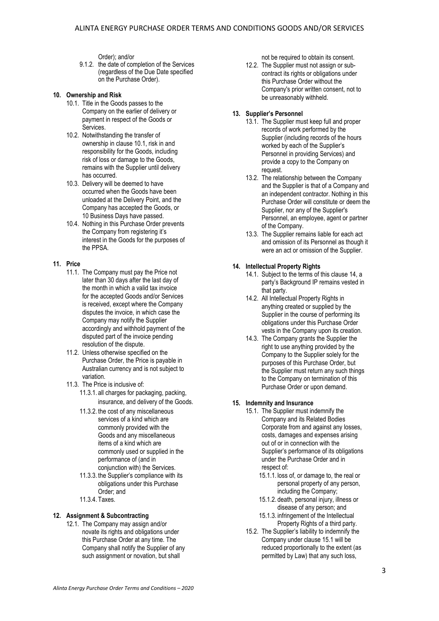Order); and/or

9.1.2. the date of completion of the Services (regardless of the Due Date specified on the Purchase Order).

#### **10. Ownership and Risk**

- 10.1. Title in the Goods passes to the Company on the earlier of delivery or payment in respect of the Goods or Services.
- 10.2. Notwithstanding the transfer of ownership in clause 10.1, risk in and responsibility for the Goods, including risk of loss or damage to the Goods, remains with the Supplier until delivery has occurred.
- 10.3. Delivery will be deemed to have occurred when the Goods have been unloaded at the Delivery Point, and the Company has accepted the Goods, or 10 Business Days have passed.
- 10.4. Nothing in this Purchase Order prevents the Company from registering it's interest in the Goods for the purposes of the PPSA.

### **11. Price**

- 11.1. The Company must pay the Price not later than 30 days after the last day of the month in which a valid tax invoice for the accepted Goods and/or Services is received, except where the Company disputes the invoice, in which case the Company may notify the Supplier accordingly and withhold payment of the disputed part of the invoice pending resolution of the dispute.
- 11.2. Unless otherwise specified on the Purchase Order, the Price is payable in Australian currency and is not subject to variation.
- 11.3. The Price is inclusive of:
	- 11.3.1. all charges for packaging, packing, insurance, and delivery of the Goods.
	- 11.3.2. the cost of any miscellaneous services of a kind which are commonly provided with the Goods and any miscellaneous items of a kind which are commonly used or supplied in the performance of (and in conjunction with) the Services.
	- 11.3.3. the Supplier's compliance with its obligations under this Purchase Order; and
	- 11.3.4. Taxes.

## **12. Assignment & Subcontracting**

12.1. The Company may assign and/or novate its rights and obligations under this Purchase Order at any time. The Company shall notify the Supplier of any such assignment or novation, but shall

not be required to obtain its consent.

12.2. The Supplier must not assign or subcontract its rights or obligations under this Purchase Order without the Company's prior written consent, not to be unreasonably withheld.

#### **13. Supplier's Personnel**

- 13.1. The Supplier must keep full and proper records of work performed by the Supplier (including records of the hours worked by each of the Supplier's Personnel in providing Services) and provide a copy to the Company on request.
- 13.2. The relationship between the Company and the Supplier is that of a Company and an independent contractor. Nothing in this Purchase Order will constitute or deem the Supplier, nor any of the Supplier's Personnel, an employee, agent or partner of the Company.
- 13.3. The Supplier remains liable for each act and omission of its Personnel as though it were an act or omission of the Supplier.

### **14. Intellectual Property Rights**

- 14.1. Subject to the terms of this clause 14, a party's Background IP remains vested in that party.
- 14.2. All Intellectual Property Rights in anything created or supplied by the Supplier in the course of performing its obligations under this Purchase Order vests in the Company upon its creation.
- 14.3. The Company grants the Supplier the right to use anything provided by the Company to the Supplier solely for the purposes of this Purchase Order, but the Supplier must return any such things to the Company on termination of this Purchase Order or upon demand.

### <span id="page-2-0"></span>**15. Indemnity and Insurance**

- 15.1. The Supplier must indemnify the Company and its Related Bodies Corporate from and against any losses, costs, damages and expenses arising out of or in connection with the Supplier's performance of its obligations under the Purchase Order and in respect of:
	- 15.1.1. loss of, or damage to, the real or personal property of any person, including the Company;
	- 15.1.2. death, personal injury, illness or disease of any person; and
	- 15.1.3. infringement of the Intellectual Property Rights of a third party.
- 15.2. The Supplier's liability to indemnify the Company under clause 15.1 will be reduced proportionally to the extent (as permitted by Law) that any such loss,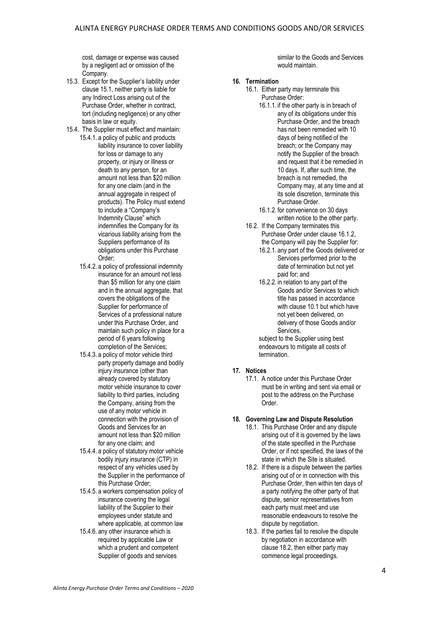cost, damage or expense was caused by a negligent act or omission of the Company.

- 15.3. Except for the Supplier's liability under claus[e 15.1,](#page-2-0) neither party is liable for any Indirect Loss arising out of the Purchase Order, whether in contract, tort (including negligence) or any other basis in law or equity.
- 15.4. The Supplier must effect and maintain:
	- 15.4.1. a policy of public and products liability insurance to cover liability for loss or damage to any property, or injury or illness or death to any person, for an amount not less than \$20 million for any one claim (and in the annual aggregate in respect of products). The Policy must extend to include a "Company's Indemnity Clause" which indemnifies the Company for its vicarious liability arising from the Suppliers performance of its obligations under this Purchase Order;
	- 15.4.2. a policy of professional indemnity insurance for an amount not less than \$5 million for any one claim and in the annual aggregate, that covers the obligations of the Supplier for performance of Services of a professional nature under this Purchase Order, and maintain such policy in place for a period of 6 years following completion of the Services;
	- 15.4.3. a policy of motor vehicle third party property damage and bodily injury insurance (other than already covered by statutory motor vehicle insurance to cover liability to third parties, including the Company, arising from the use of any motor vehicle in connection with the provision of Goods and Services for an amount not less than \$20 million for any one claim; and
	- 15.4.4. a policy of statutory motor vehicle bodily injury insurance (CTP) in respect of any vehicles used by the Supplier in the performance of this Purchase Order;
	- 15.4.5. a workers compensation policy of insurance covering the legal liability of the Supplier to their employees under statute and where applicable, at common law
	- 15.4.6. any other insurance which is required by applicable Law or which a prudent and competent Supplier of goods and services

similar to the Goods and Services would maintain.

#### **16. Termination**

- 16.1. Either party may terminate this Purchase Order:
	- 16.1.1. if the other party is in breach of any of its obligations under this Purchase Order, and the breach has not been remedied with 10 days of being notified of the breach; or the Company may notify the Supplier of the breach and request that it be remedied in 10 days. If, after such time, the breach is not remedied, the Company may, at any time and at its sole discretion, terminate this Purchase Order.
	- 16.1.2. for convenience on 30 days written notice to the other party.
- 16.2. If the Company terminates this Purchase Order under clause 16.1.2, the Company will pay the Supplier for:
	- 16.2.1. any part of the Goods delivered or Services performed prior to the date of termination but not yet paid for; and
	- 16.2.2. in relation to any part of the Goods and/or Services to which title has passed in accordance with clause 10.1 but which have not yet been delivered, on delivery of those Goods and/or Services,

subject to the Supplier using best endeavours to mitigate all costs of termination.

### **17. Notices**

17.1. A notice under this Purchase Order must be in writing and sent via email or post to the address on the Purchase Order.

## **18. Governing Law and Dispute Resolution**

- 18.1. This Purchase Order and any dispute arising out of it is governed by the laws of the state specified in the Purchase Order, or if not specified, the laws of the state in which the Site is situated.
- 18.2. If there is a dispute between the parties arising out of or in connection with this Purchase Order, then within ten days of a party notifying the other party of that dispute, senior representatives from each party must meet and use reasonable endeavours to resolve the dispute by negotiation.
- 18.3. If the parties fail to resolve the dispute by negotiation in accordance with clause 18.2, then either party may commence legal proceedings.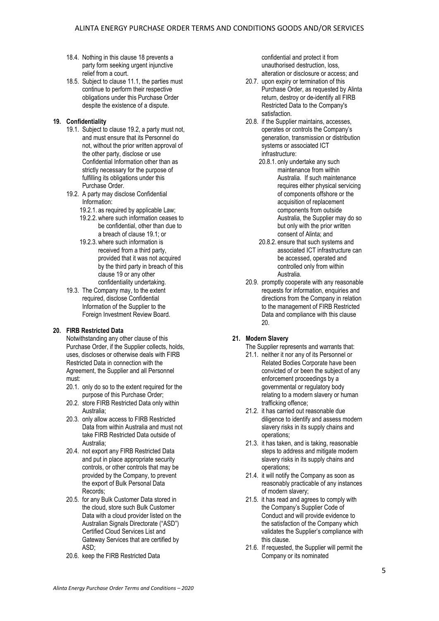- 18.4. Nothing in this clause 18 prevents a party form seeking urgent injunctive relief from a court.
- 18.5. Subject to clause 11.1, the parties must continue to perform their respective obligations under this Purchase Order despite the existence of a dispute.

## **19. Confidentiality**

- 19.1. Subject to clause 19.2, a party must not, and must ensure that its Personnel do not, without the prior written approval of the other party, disclose or use Confidential Information other than as strictly necessary for the purpose of fulfilling its obligations under this Purchase Order.
- 19.2. A party may disclose Confidential Information:
	- 19.2.1. as required by applicable Law;
	- 19.2.2. where such information ceases to be confidential, other than due to a breach of clause 19.1; or
	- 19.2.3. where such information is received from a third party, provided that it was not acquired by the third party in breach of this clause 19 or any other confidentiality undertaking.
- 19.3. The Company may, to the extent required, disclose Confidential Information of the Supplier to the Foreign Investment Review Board.

# **20. FIRB Restricted Data**

Notwithstanding any other clause of this Purchase Order, if the Supplier collects, holds, uses, discloses or otherwise deals with FIRB Restricted Data in connection with the Agreement, the Supplier and all Personnel must:

- 20.1. only do so to the extent required for the purpose of this Purchase Order;
- 20.2. store FIRB Restricted Data only within Australia;
- 20.3. only allow access to FIRB Restricted Data from within Australia and must not take FIRB Restricted Data outside of Australia;
- 20.4. not export any FIRB Restricted Data and put in place appropriate security controls, or other controls that may be provided by the Company, to prevent the export of Bulk Personal Data Records;
- 20.5. for any Bulk Customer Data stored in the cloud, store such Bulk Customer Data with a cloud provider listed on the Australian Signals Directorate ("ASD") Certified Cloud Services List and Gateway Services that are certified by ASD;
- 20.6. keep the FIRB Restricted Data

confidential and protect it from unauthorised destruction, loss, alteration or disclosure or access; and

- 20.7. upon expiry or termination of this Purchase Order, as requested by Alinta return, destroy or de-identify all FIRB Restricted Data to the Company's satisfaction.
- 20.8. if the Supplier maintains, accesses, operates or controls the Company's generation, transmission or distribution systems or associated ICT infrastructure:
	- 20.8.1. only undertake any such maintenance from within Australia. If such maintenance requires either physical servicing of components offshore or the acquisition of replacement components from outside Australia, the Supplier may do so but only with the prior written consent of Alinta; and
	- 20.8.2. ensure that such systems and associated ICT infrastructure can be accessed, operated and controlled only from within Australia.
- 20.9. promptly cooperate with any reasonable requests for information, enquiries and directions from the Company in relation to the management of FIRB Restricted Data and compliance with this clause 20.

# **21. Modern Slavery**

- The Supplier represents and warrants that:
- 21.1. neither it nor any of its Personnel or Related Bodies Corporate have been convicted of or been the subject of any enforcement proceedings by a governmental or regulatory body relating to a modern slavery or human trafficking offence;
- 21.2. it has carried out reasonable due diligence to identify and assess modern slavery risks in its supply chains and operations;
- 21.3. it has taken, and is taking, reasonable steps to address and mitigate modern slavery risks in its supply chains and operations;
- 21.4. it will notify the Company as soon as reasonably practicable of any instances of modern slavery;
- 21.5. it has read and agrees to comply with the Company's Supplier Code of Conduct and will provide evidence to the satisfaction of the Company which validates the Supplier's compliance with this clause.
- 21.6. If requested, the Supplier will permit the Company or its nominated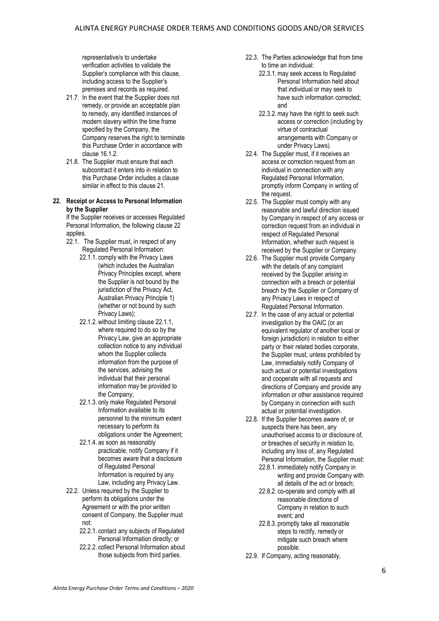representative/s to undertake verification activities to validate the Supplier's compliance with this clause, including access to the Supplier's premises and records as required.

- 21.7. In the event that the Supplier does not remedy, or provide an acceptable plan to remedy, any identified instances of modern slavery within the time frame specified by the Company, the Company reserves the right to terminate this Purchase Order in accordance with clause 16.1.2.
- 21.8. The Supplier must ensure that each subcontract it enters into in relation to this Purchase Order includes a clause similar in effect to this clause 21.

#### **22. Receipt or Access to Personal Information by the Supplier**

If the Supplier receives or accesses Regulated Personal Information, the following clause 22 applies.

- 22.1. The Supplier must, in respect of any Regulated Personal Information:
	- 22.1.1. comply with the Privacy Laws (which includes the Australian Privacy Principles except, where the Supplier is not bound by the jurisdiction of the Privacy Act. Australian Privacy Principle 1) (whether or not bound by such Privacy Laws);
	- 22.1.2. without limiting clause 22.1.1, where required to do so by the Privacy Law, give an appropriate collection notice to any individual whom the Supplier collects information from the purpose of the services, advising the individual that their personal information may be provided to the Company;
	- 22.1.3. only make Regulated Personal Information available to its personnel to the minimum extent necessary to perform its obligations under the Agreement;
	- 22.1.4. as soon as reasonably practicable, notify Company if it becomes aware that a disclosure of Regulated Personal Information is required by any Law, including any Privacy Law.
- 22.2. Unless required by the Supplier to perform its obligations under the Agreement or with the prior written consent of Company, the Supplier must not:
	- 22.2.1. contact any subjects of Regulated Personal Information directly; or
	- 22.2.2. collect Personal Information about those subjects from third parties.
- 22.3. The Parties acknowledge that from time to time an individual:
	- 22.3.1.may seek access to Regulated Personal Information held about that individual or may seek to have such information corrected; and
	- 22.3.2.may have the right to seek such access or correction (including by virtue of contractual arrangements with Company or under Privacy Laws).
- 22.4. The Supplier must, if it receives an access or correction request from an individual in connection with any Regulated Personal Information, promptly inform Company in writing of the request.
- 22.5. The Supplier must comply with any reasonable and lawful direction issued by Company in respect of any access or correction request from an individual in respect of Regulated Personal Information, whether such request is received by the Supplier or Company.
- 22.6. The Supplier must provide Company with the details of any complaint received by the Supplier arising in connection with a breach or potential breach by the Supplier or Company of any Privacy Laws in respect of Regulated Personal Information.
- 22.7. In the case of any actual or potential investigation by the OAIC (or an equivalent regulator of another local or foreign jurisdiction) in relation to either party or their related bodies corporate, the Supplier must, unless prohibited by Law, immediately notify Company of such actual or potential investigations and cooperate with all requests and directions of Company and provide any information or other assistance required by Company in connection with such actual or potential investigation.
- 22.8. If the Supplier becomes aware of, or suspects there has been, any unauthorised access to or disclosure of, or breaches of security in relation to, including any loss of, any Regulated Personal Information, the Supplier must:
	- 22.8.1. immediately notify Company in writing and provide Company with all details of the act or breach;
	- 22.8.2. co-operate and comply with all reasonable directions of Company in relation to such event; and
	- 22.8.3. promptly take all reasonable steps to rectify, remedy or mitigate such breach where possible.
- 22.9. If Company, acting reasonably,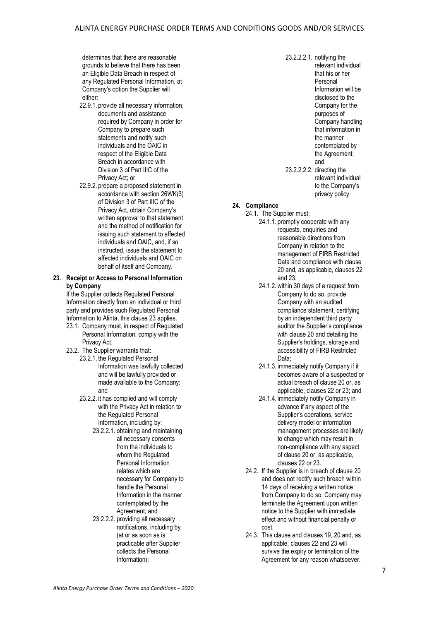determines that there are reasonable grounds to believe that there has been an Eligible Data Breach in respect of any Regulated Personal Information, at Company's option the Supplier will either:

- 22.9.1. provide all necessary information, documents and assistance required by Company in order for Company to prepare such statements and notify such individuals and the OAIC in respect of the Eligible Data Breach in accordance with Division 3 of Part IIIC of the Privacy Act; or
- 22.9.2. prepare a proposed statement in accordance with section 26WK(3) of Division 3 of Part IIIC of the Privacy Act, obtain Company's written approval to that statement and the method of notification for issuing such statement to affected individuals and OAIC, and, if so instructed, issue the statement to affected individuals and OAIC on behalf of itself and Company.

### **23. Receipt or Access to Personal Information by Company**

If the Supplier collects Regulated Personal Information directly from an individual or third party and provides such Regulated Personal Information to Alinta, this clause 23 applies.

- 23.1. Company must, in respect of Regulated Personal Information, comply with the Privacy Act.
- 23.2. The Supplier warrants that:
	- 23.2.1. the Regulated Personal Information was lawfully collected and will be lawfully provided or made available to the Company; and
	- 23.2.2. it has complied and will comply with the Privacy Act in relation to the Regulated Personal Information, including by:
		- 23.2.2.1. obtaining and maintaining all necessary consents from the individuals to whom the Regulated Personal Information relates which are necessary for Company to handle the Personal Information in the manner contemplated by the Agreement; and
		- 23.2.2.2. providing all necessary notifications, including by (at or as soon as is practicable after Supplier collects the Personal Information):

23.2.2.2.1. notifying the relevant individual that his or her **Personal** Information will be disclosed to the Company for the purposes of Company handling that information in the manner contemplated by the Agreement; and 23.2.2.2.2. directing the relevant individual

> to the Company's privacy policy.

### **24. Compliance**

- 24.1. The Supplier must:
	- 24.1.1. promptly cooperate with any requests, enquiries and reasonable directions from Company in relation to the management of FIRB Restricted Data and compliance with clause 20 and, as applicable, clauses 22 and 23;
	- 24.1.2. within 30 days of a request from Company to do so, provide Company with an audited compliance statement, certifying by an independent third party auditor the Supplier's compliance with clause 20 and detailing the Supplier's holdings, storage and accessibility of FIRB Restricted Data;
	- 24.1.3. immediately notify Company if it becomes aware of a suspected or actual breach of clause 20 or, as applicable, clauses 22 or 23; and
	- 24.1.4. immediately notify Company in advance if any aspect of the Supplier's operations, service delivery model or information management processes are likely to change which may result in non-compliance with any aspect of clause 20 or, as applicable, clauses 22 or 23.
	- 24.2. If the Supplier is in breach of clause 20 and does not rectify such breach within 14 days of receiving a written notice from Company to do so, Company may terminate the Agreement upon written notice to the Supplier with immediate effect and without financial penalty or cost.
	- 24.3. This clause and clauses 19, 20 and, as applicable, clauses 22 and 23 will survive the expiry or termination of the Agreement for any reason whatsoever.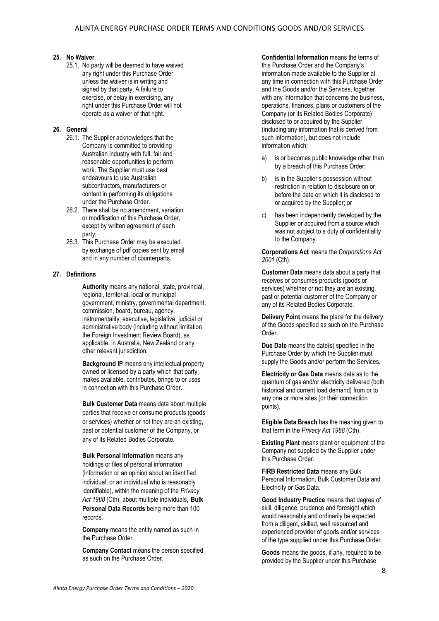#### **25. No Waiver**

25.1. No party will be deemed to have waived any right under this Purchase Order unless the waiver is in writing and signed by that party. A failure to exercise, or delay in exercising, any right under this Purchase Order will not operate as a waiver of that right.

## **26. General**

- 26.1. The Supplier acknowledges that the Company is committed to providing Australian industry with full, fair and reasonable opportunities to perform work. The Supplier must use best endeavours to use Australian subcontractors, manufacturers or content in performing its obligations under the Purchase Order.
- 26.2. There shall be no amendment, variation or modification of this Purchase Order, except by written agreement of each party.
- 26.3. This Purchase Order may be executed by exchange of pdf copies sent by email and in any number of counterparts.

#### **27. Definitions**

**Authority** means any national, state, provincial, regional, territorial, local or municipal government, ministry, governmental department, commission, board, bureau, agency, instrumentality, executive, legislative, judicial or administrative body (including without limitation the Foreign Investment Review Board), as applicable, in Australia, New Zealand or any other relevant jurisdiction.

**Background IP** means any intellectual property owned or licensed by a party which that party makes available, contributes, brings to or uses in connection with this Purchase Order.

**Bulk Customer Data** means data about multiple parties that receive or consume products (goods or services) whether or not they are an existing, past or potential customer of the Company, or any of its Related Bodies Corporate.

**Bulk Personal Information** means any holdings or files of personal information (information or an opinion about an identified individual, or an individual who is reasonably identifiable), within the meaning of the *Privacy Act 1988* (Cth), about multiple individuals**, Bulk Personal Data Records** being more than 100 records.

**Company** means the entity named as such in the Purchase Order.

**Company Contact** means the person specified as such on the Purchase Order.

**Confidential Information** means the terms of this Purchase Order and the Company's information made available to the Supplier at any time in connection with this Purchase Order and the Goods and/or the Services, together with any information that concerns the business. operations, finances, plans or customers of the Company (or its Related Bodies Corporate) disclosed to or acquired by the Supplier (including any information that is derived from such information), but does not include information which:

- a) is or becomes public knowledge other than by a breach of this Purchase Order;
- b) is in the Supplier's possession without restriction in relation to disclosure on or before the date on which it is disclosed to or acquired by the Supplier; or
- c) has been independently developed by the Supplier or acquired from a source which was not subject to a duty of confidentiality to the Company.

**Corporations Act** means the *Corporations Act 2001* (Cth).

**Customer Data** means data about a party that receives or consumes products (goods or services) whether or not they are an existing, past or potential customer of the Company or any of its Related Bodies Corporate.

**Delivery Point** means the place for the delivery of the Goods specified as such on the Purchase Order.

**Due Date** means the date(s) specified in the Purchase Order by which the Supplier must supply the Goods and/or perform the Services.

**Electricity or Gas Data** means data as to the quantum of gas and/or electricity delivered (both historical and current load demand) from or to any one or more sites (or their connection points).

**Eligible Data Breach** has the meaning given to that term in the *Privacy Act 1988* (Cth).

**Existing Plant** means plant or equipment of the Company not supplied by the Supplier under this Purchase Order.

**FIRB Restricted Data** means any Bulk Personal Information, Bulk Customer Data and Electricity or Gas Data.

**Good Industry Practice** means that degree of skill, diligence, prudence and foresight which would reasonably and ordinarily be expected from a diligent, skilled, well resourced and experienced provider of goods and/or services of the type supplied under this Purchase Order.

**Goods** means the goods, if any, required to be provided by the Supplier under this Purchase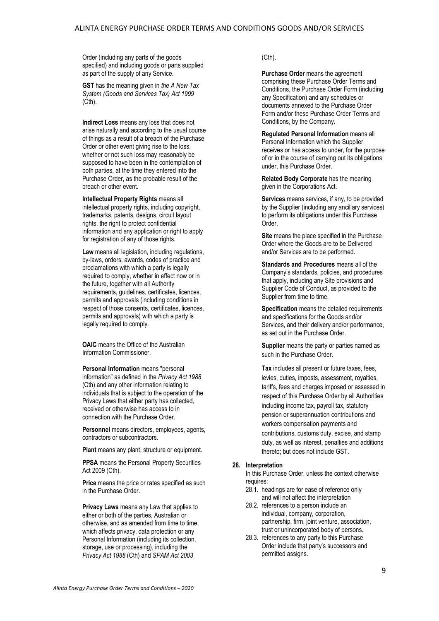Order (including any parts of the goods specified) and including goods or parts supplied as part of the supply of any Service.

**GST** has the meaning given in *the A New Tax System (Goods and Services Tax) Act 1999* (Cth).

**Indirect Loss** means any loss that does not arise naturally and according to the usual course of things as a result of a breach of the Purchase Order or other event giving rise to the loss, whether or not such loss may reasonably be supposed to have been in the contemplation of both parties, at the time they entered into the Purchase Order, as the probable result of the breach or other event.

**Intellectual Property Rights** means all intellectual property rights, including copyright, trademarks, patents, designs, circuit layout rights, the right to protect confidential information and any application or right to apply for registration of any of those rights.

**Law** means all legislation, including regulations, by-laws, orders, awards, codes of practice and proclamations with which a party is legally required to comply, whether in effect now or in the future, together with all Authority requirements, guidelines, certificates, licences, permits and approvals (including conditions in respect of those consents, certificates, licences, permits and approvals) with which a party is legally required to comply.

**OAIC** means the Office of the Australian Information Commissioner.

**Personal Information** means "personal information" as defined in the *Privacy Act 1988* (Cth) and any other information relating to individuals that is subject to the operation of the Privacy Laws that either party has collected, received or otherwise has access to in connection with the Purchase Order.

**Personnel** means directors, employees, agents, contractors or subcontractors.

**Plant** means any plant, structure or equipment.

**PPSA** means the Personal Property Securities Act 2009 (Cth).

**Price** means the price or rates specified as such in the Purchase Order.

**Privacy Laws** means any Law that applies to either or both of the parties, Australian or otherwise, and as amended from time to time, which affects privacy, data protection or any Personal Information (including its collection, storage, use or processing), including the *Privacy Act 1988* (Cth) and *SPAM Act 2003*

## (Cth).

**Purchase Order** means the agreement comprising these Purchase Order Terms and Conditions, the Purchase Order Form (including any Specification) and any schedules or documents annexed to the Purchase Order Form and/or these Purchase Order Terms and Conditions, by the Company.

**Regulated Personal Information** means all Personal Information which the Supplier receives or has access to under, for the purpose of or in the course of carrying out its obligations under, this Purchase Order.

**Related Body Corporate** has the meaning given in the Corporations Act.

**Services** means services, if any, to be provided by the Supplier (including any ancillary services) to perform its obligations under this Purchase Order.

**Site** means the place specified in the Purchase Order where the Goods are to be Delivered and/or Services are to be performed.

**Standards and Procedures** means all of the Company's standards, policies, and procedures that apply, including any Site provisions and Supplier Code of Conduct, as provided to the Supplier from time to time.

**Specification** means the detailed requirements and specifications for the Goods and/or Services, and their delivery and/or performance, as set out in the Purchase Order.

**Supplier** means the party or parties named as such in the Purchase Order.

**Tax** includes all present or future taxes, fees, levies, duties, imposts, assessment, royalties, tariffs, fees and charges imposed or assessed in respect of this Purchase Order by all Authorities including income tax, payroll tax, statutory pension or superannuation contributions and workers compensation payments and contributions, customs duty, excise, and stamp duty, as well as interest, penalties and additions thereto; but does not include GST.

#### **28. Interpretation**

In this Purchase Order, unless the context otherwise requires:

- 28.1. headings are for ease of reference only and will not affect the interpretation
- 28.2. references to a person include an individual, company, corporation, partnership, firm, joint venture, association, trust or unincorporated body of persons.
- 28.3. references to any party to this Purchase Order include that party's successors and permitted assigns.